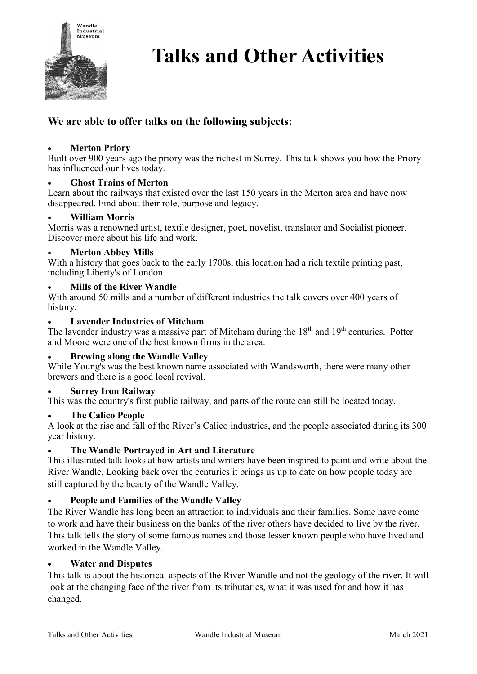

# **Talks and Other Activities**

# **We are able to offer talks on the following subjects:**

#### • **Merton Priory**

Built over 900 years ago the priory was the richest in Surrey. This talk shows you how the Priory has influenced our lives today.

#### • **Ghost Trains of Merton**

Learn about the railways that existed over the last 150 years in the Merton area and have now disappeared. Find about their role, purpose and legacy.

#### • **William Morris**

Morris was a renowned artist, textile designer, poet, novelist, translator and Socialist pioneer. Discover more about his life and work.

#### • **Merton Abbey Mills**

With a history that goes back to the early 1700s, this location had a rich textile printing past, including Liberty's of London.

#### • **Mills of the River Wandle**

With around 50 mills and a number of different industries the talk covers over 400 years of history.

#### • **Lavender Industries of Mitcham**

The lavender industry was a massive part of Mitcham during the  $18<sup>th</sup>$  and  $19<sup>th</sup>$  centuries. Potter and Moore were one of the best known firms in the area.

#### • **Brewing along the Wandle Valley**

While Young's was the best known name associated with Wandsworth, there were many other brewers and there is a good local revival.

#### • **Surrey Iron Railway**

This was the country's first public railway, and parts of the route can still be located today.

#### • **The Calico People**

A look at the rise and fall of the River's Calico industries, and the people associated during its 300 year history.

#### • **The Wandle Portrayed in Art and Literature**

This illustrated talk looks at how artists and writers have been inspired to paint and write about the River Wandle. Looking back over the centuries it brings us up to date on how people today are still captured by the beauty of the Wandle Valley.

#### • **People and Families of the Wandle Valley**

The River Wandle has long been an attraction to individuals and their families. Some have come to work and have their business on the banks of the river others have decided to live by the river. This talk tells the story of some famous names and those lesser known people who have lived and worked in the Wandle Valley.

#### • **Water and Disputes**

This talk is about the historical aspects of the River Wandle and not the geology of the river. It will look at the changing face of the river from its tributaries, what it was used for and how it has changed.